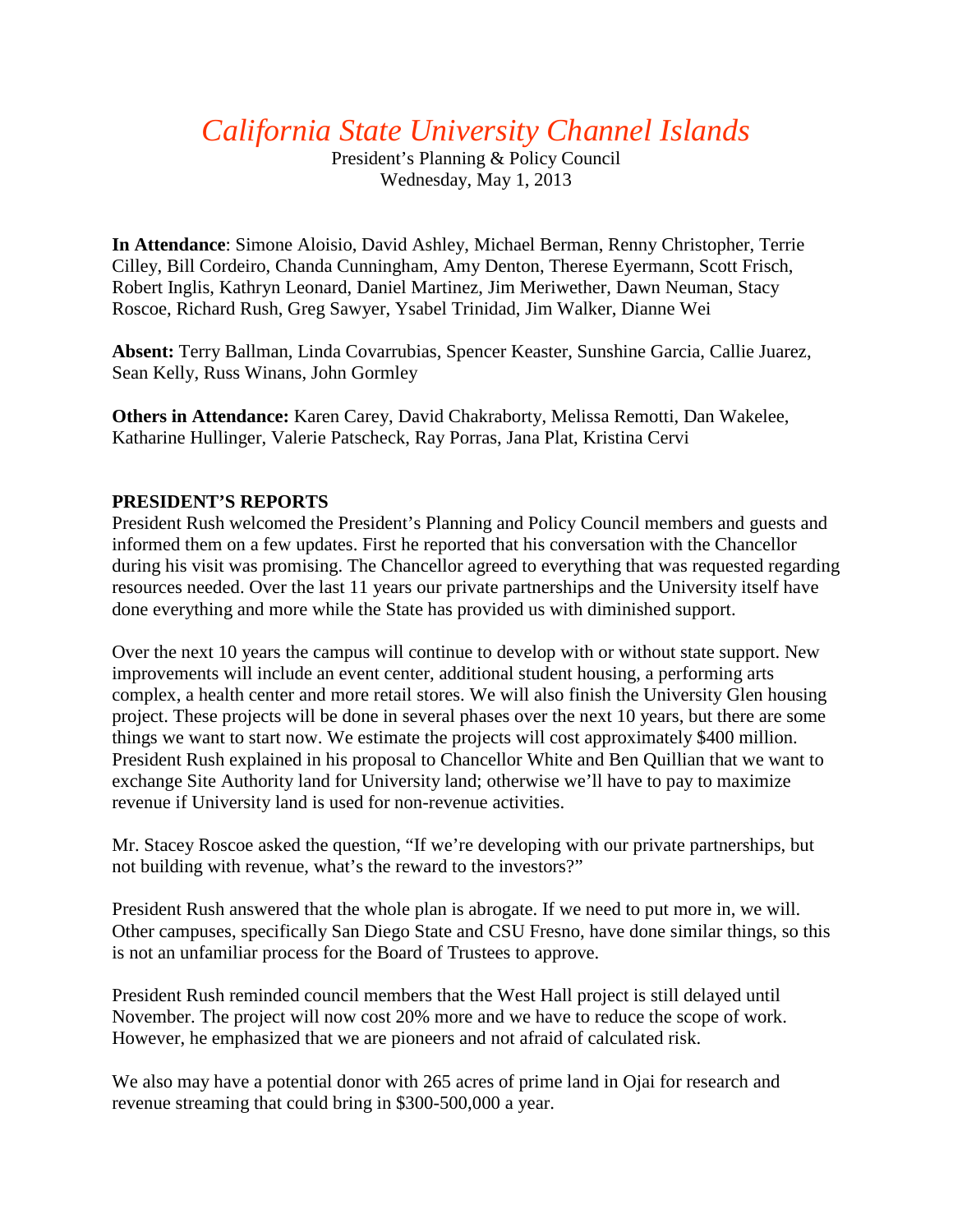# *California State University Channel Islands*

President's Planning & Policy Council Wednesday, May 1, 2013

**In Attendance**: Simone Aloisio, David Ashley, Michael Berman, Renny Christopher, Terrie Cilley, Bill Cordeiro, Chanda Cunningham, Amy Denton, Therese Eyermann, Scott Frisch, Robert Inglis, Kathryn Leonard, Daniel Martinez, Jim Meriwether, Dawn Neuman, Stacy Roscoe, Richard Rush, Greg Sawyer, Ysabel Trinidad, Jim Walker, Dianne Wei

**Absent:** Terry Ballman, Linda Covarrubias, Spencer Keaster, Sunshine Garcia, Callie Juarez, Sean Kelly, Russ Winans, John Gormley

**Others in Attendance:** Karen Carey, David Chakraborty, Melissa Remotti, Dan Wakelee, Katharine Hullinger, Valerie Patscheck, Ray Porras, Jana Plat, Kristina Cervi

# **PRESIDENT'S REPORTS**

President Rush welcomed the President's Planning and Policy Council members and guests and informed them on a few updates. First he reported that his conversation with the Chancellor during his visit was promising. The Chancellor agreed to everything that was requested regarding resources needed. Over the last 11 years our private partnerships and the University itself have done everything and more while the State has provided us with diminished support.

Over the next 10 years the campus will continue to develop with or without state support. New improvements will include an event center, additional student housing, a performing arts complex, a health center and more retail stores. We will also finish the University Glen housing project. These projects will be done in several phases over the next 10 years, but there are some things we want to start now. We estimate the projects will cost approximately \$400 million. President Rush explained in his proposal to Chancellor White and Ben Quillian that we want to exchange Site Authority land for University land; otherwise we'll have to pay to maximize revenue if University land is used for non-revenue activities.

Mr. Stacey Roscoe asked the question, "If we're developing with our private partnerships, but not building with revenue, what's the reward to the investors?"

President Rush answered that the whole plan is abrogate. If we need to put more in, we will. Other campuses, specifically San Diego State and CSU Fresno, have done similar things, so this is not an unfamiliar process for the Board of Trustees to approve.

President Rush reminded council members that the West Hall project is still delayed until November. The project will now cost 20% more and we have to reduce the scope of work. However, he emphasized that we are pioneers and not afraid of calculated risk.

We also may have a potential donor with 265 acres of prime land in Ojai for research and revenue streaming that could bring in \$300-500,000 a year.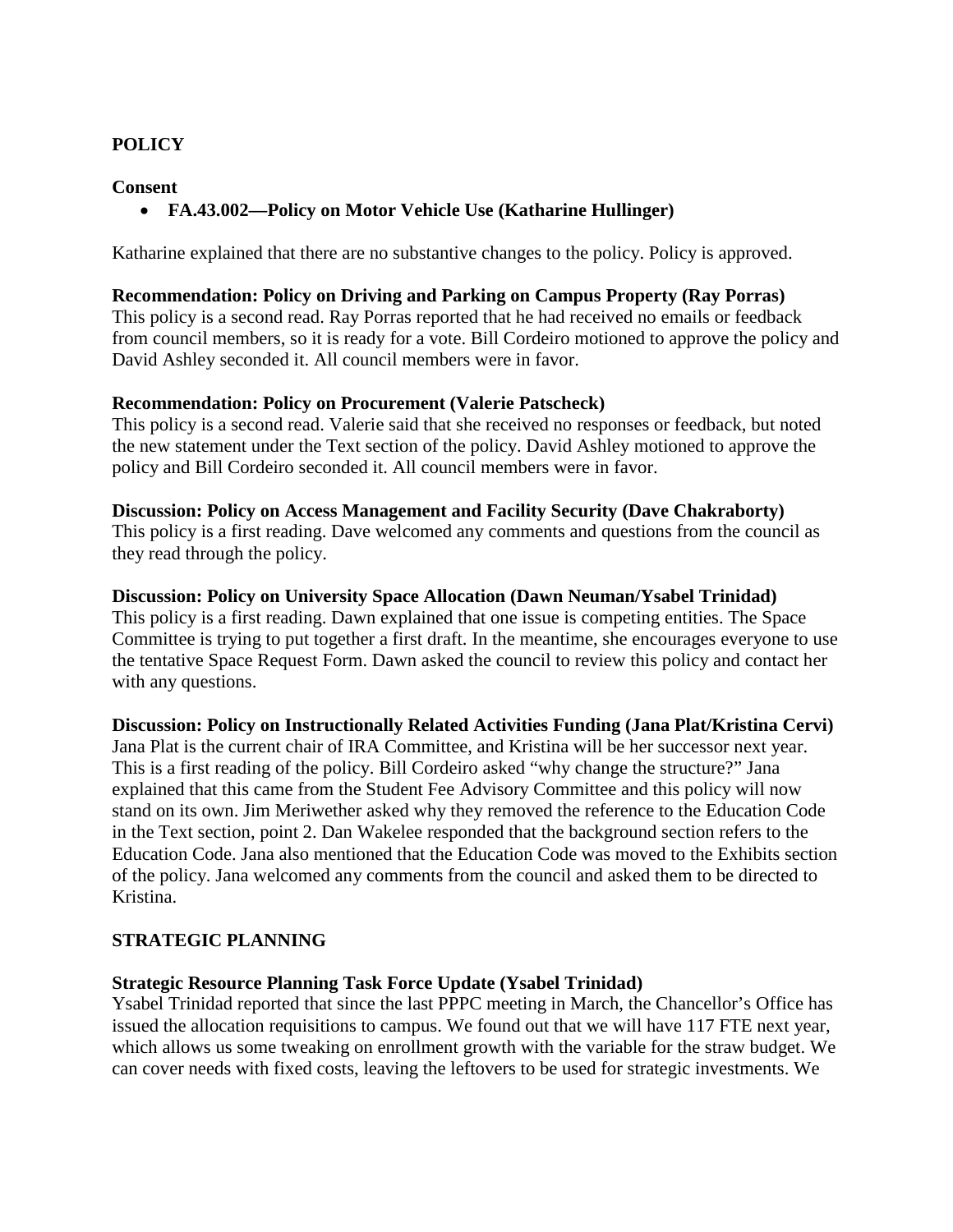# **POLICY**

**Consent**

# • **FA.43.002—Policy on Motor Vehicle Use (Katharine Hullinger)**

Katharine explained that there are no substantive changes to the policy. Policy is approved.

### **Recommendation: Policy on Driving and Parking on Campus Property (Ray Porras)**

This policy is a second read. Ray Porras reported that he had received no emails or feedback from council members, so it is ready for a vote. Bill Cordeiro motioned to approve the policy and David Ashley seconded it. All council members were in favor.

## **Recommendation: Policy on Procurement (Valerie Patscheck)**

This policy is a second read. Valerie said that she received no responses or feedback, but noted the new statement under the Text section of the policy. David Ashley motioned to approve the policy and Bill Cordeiro seconded it. All council members were in favor.

#### **Discussion: Policy on Access Management and Facility Security (Dave Chakraborty)**

This policy is a first reading. Dave welcomed any comments and questions from the council as they read through the policy.

#### **Discussion: Policy on University Space Allocation (Dawn Neuman/Ysabel Trinidad)**

This policy is a first reading. Dawn explained that one issue is competing entities. The Space Committee is trying to put together a first draft. In the meantime, she encourages everyone to use the tentative Space Request Form. Dawn asked the council to review this policy and contact her with any questions.

## **Discussion: Policy on Instructionally Related Activities Funding (Jana Plat/Kristina Cervi)**

Jana Plat is the current chair of IRA Committee, and Kristina will be her successor next year. This is a first reading of the policy. Bill Cordeiro asked "why change the structure?" Jana explained that this came from the Student Fee Advisory Committee and this policy will now stand on its own. Jim Meriwether asked why they removed the reference to the Education Code in the Text section, point 2. Dan Wakelee responded that the background section refers to the Education Code. Jana also mentioned that the Education Code was moved to the Exhibits section of the policy. Jana welcomed any comments from the council and asked them to be directed to Kristina.

## **STRATEGIC PLANNING**

# **Strategic Resource Planning Task Force Update (Ysabel Trinidad)**

Ysabel Trinidad reported that since the last PPPC meeting in March, the Chancellor's Office has issued the allocation requisitions to campus. We found out that we will have 117 FTE next year, which allows us some tweaking on enrollment growth with the variable for the straw budget. We can cover needs with fixed costs, leaving the leftovers to be used for strategic investments. We